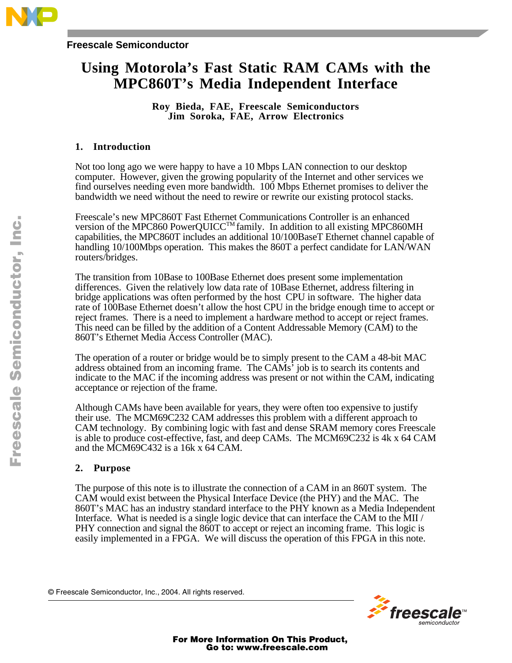

### **Freescale Semiconductor**

# **Using Motorola's Fast Static RAM CAMs with the MPC860T's Media Independent Interface**

**Roy Bieda, FAE, Freescale Semiconductors Jim Soroka, FAE, Arrow Electronics**

## **1. Introduction**

Not too long ago we were happy to have a 10 Mbps LAN connection to our desktop computer. However, given the growing popularity of the Internet and other services we find ourselves needing even more bandwidth. 100 Mbps Ethernet promises to deliver the bandwidth we need without the need to rewire or rewrite our existing protocol stacks.

Freescale's new MPC860T Fast Ethernet Communications Controller is an enhanced version of the MPC860 PowerQUICC™ family. In addition to all existing MPC860MH capabilities, the MPC860T includes an additional 10/100BaseT Ethernet channel capable of handling 10/100Mbps operation. This makes the 860T a perfect candidate for LAN/WAN routers/bridges.

The transition from 10Base to 100Base Ethernet does present some implementation differences. Given the relatively low data rate of 10Base Ethernet, address filtering in bridge applications was often performed by the host CPU in software. The higher data rate of 100Base Ethernet doesn't allow the host CPU in the bridge enough time to accept or reject frames. There is a need to implement a hardware method to accept or reject frames. This need can be filled by the addition of a Content Addressable Memory (CAM) to the 860T's Ethernet Media Access Controller (MAC).

The operation of a router or bridge would be to simply present to the CAM a 48-bit MAC address obtained from an incoming frame. The CAMs' job is to search its contents and indicate to the MAC if the incoming address was present or not within the CAM, indicating acceptance or rejection of the frame.

Although CAMs have been available for years, they were often too expensive to justify their use. The MCM69C232 CAM addresses this problem with a different approach to CAM technology. By combining logic with fast and dense SRAM memory cores Freescale is able to produce cost-effective, fast, and deep CAMs. The MCM69C232 is 4k x 64 CAM and the MCM69C432 is a 16k x 64 CAM.

## **2. Purpose**

The purpose of this note is to illustrate the connection of a CAM in an 860T system. The CAM would exist between the Physical Interface Device (the PHY) and the MAC. The 860T's MAC has an industry standard interface to the PHY known as a Media Independent Interface. What is needed is a single logic device that can interface the CAM to the MII / PHY connection and signal the 860T to accept or reject an incoming frame. This logic is easily implemented in a FPGA. We will discuss the operation of this FPGA in this note.

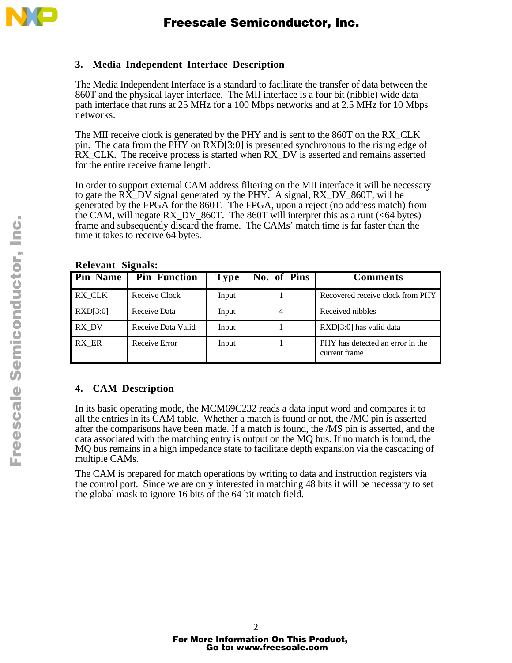

## **3. Media Independent Interface Description**

The Media Independent Interface is a standard to facilitate the transfer of data between the 860T and the physical layer interface. The MII interface is a four bit (nibble) wide data path interface that runs at 25 MHz for a 100 Mbps networks and at 2.5 MHz for 10 Mbps networks.

The MII receive clock is generated by the PHY and is sent to the 860T on the RX\_CLK pin. The data from the PHY on RXD[3:0] is presented synchronous to the rising edge of RX\_CLK. The receive process is started when RX\_DV is asserted and remains asserted for the entire receive frame length.

In order to support external CAM address filtering on the MII interface it will be necessary to gate the RX\_DV signal generated by the PHY. A signal, RX\_DV\_860T, will be generated by the FPGA for the 860T. The FPGA, upon a reject (no address match) from the CAM, will negate RX\_DV\_860T. The 860T will interpret this as a runt (<64 bytes) frame and subsequently discard the frame. The CAMs' match time is far faster than the time it takes to receive 64 bytes.

**Relevant Signals:**

| $\mathbf{A}$    |                     |             |             |                                                   |  |  |  |  |  |
|-----------------|---------------------|-------------|-------------|---------------------------------------------------|--|--|--|--|--|
| <b>Pin Name</b> | <b>Pin Function</b> | <b>Type</b> | No. of Pins | Comments                                          |  |  |  |  |  |
| RX_CLK          | Receive Clock       | Input       |             | Recovered receive clock from PHY                  |  |  |  |  |  |
| RXD[3:0]        | Receive Data        | Input       | 4           | Received nibbles                                  |  |  |  |  |  |
| RX_DV           | Receive Data Valid  | Input       |             | RXD[3:0] has valid data                           |  |  |  |  |  |
| RX ER           | Receive Error       | Input       |             | PHY has detected an error in the<br>current frame |  |  |  |  |  |

## **4. CAM Description**

In its basic operating mode, the MCM69C232 reads a data input word and compares it to all the entries in its CAM table. Whether a match is found or not, the /MC pin is asserted after the comparisons have been made. If a match is found, the /MS pin is asserted, and the data associated with the matching entry is output on the MQ bus. If no match is found, the MQ bus remains in a high impedance state to facilitate depth expansion via the cascading of multiple CAMs.

The CAM is prepared for match operations by writing to data and instruction registers via the control port. Since we are only interested in matching 48 bits it will be necessary to set the global mask to ignore 16 bits of the 64 bit match field.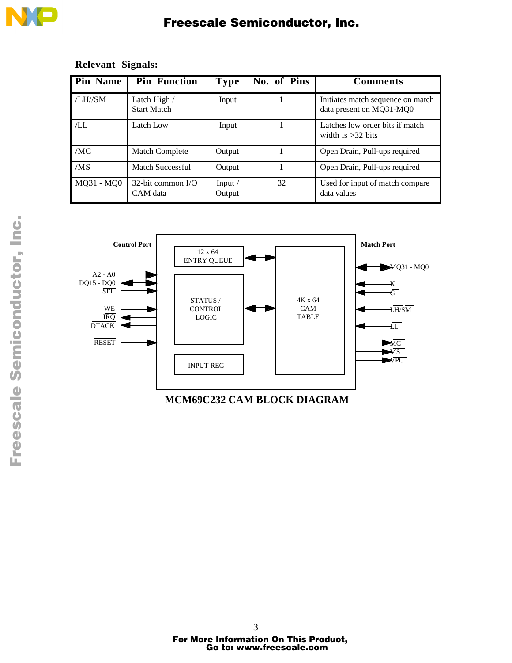

# Freescale Semiconductor, Inc.

# **Relevant Signals:**

| <b>Pin Name</b> | <b>Pin Function</b>                | Type                       | No. of Pins | <b>Comments</b>                                               |
|-----------------|------------------------------------|----------------------------|-------------|---------------------------------------------------------------|
| $/LH$ //SM      | Latch High /<br><b>Start Match</b> | Input                      |             | Initiates match sequence on match<br>data present on MQ31-MQ0 |
| ÆL              | Latch Low                          | Input                      |             | Latches low order bits if match<br>width is $>32$ bits        |
| /MC             | <b>Match Complete</b>              | Output                     |             | Open Drain, Pull-ups required                                 |
| /MS             | Match Successful                   | Output                     |             | Open Drain, Pull-ups required                                 |
| $MQ31 - MQ0$    | $32$ -bit common I/O<br>CAM data   | Input $\sqrt{ }$<br>Output | 32          | Used for input of match compare<br>data values                |



**MCM69C232 CAM BLOCK DIAGRAM**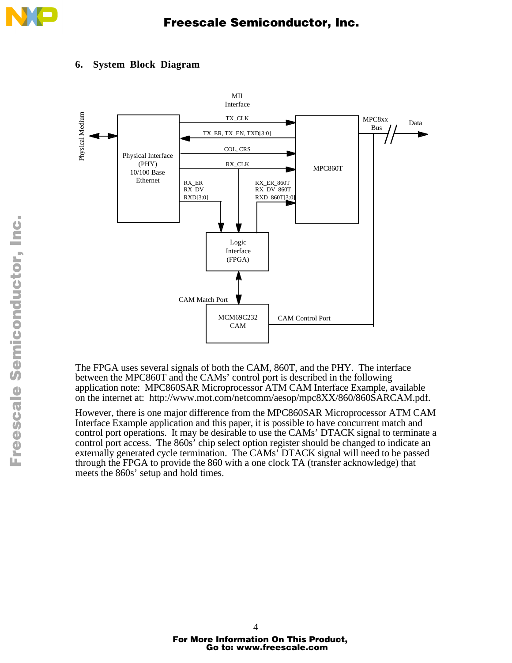

## **6. System Block Diagram**



The FPGA uses several signals of both the CAM, 860T, and the PHY. The interface between the MPC860T and the CAMs' control port is described in the following application note: MPC860SAR Microprocessor ATM CAM Interface Example, available on the internet at: http://www.mot.com/netcomm/aesop/mpc8XX/860/860SARCAM.pdf.

However, there is one major difference from the MPC860SAR Microprocessor ATM CAM Interface Example application and this paper, it is possible to have concurrent match and control port operations. It may be desirable to use the CAMs' DTACK signal to terminate a control port access. The 860s' chip select option register should be changed to indicate an externally generated cycle termination. The CAMs' DTACK signal will need to be passed through the FPGA to provide the 860 with a one clock TA (transfer acknowledge) that meets the 860s' setup and hold times.

 $\blacksquare$ d u  $\mathbf 0$ t o

r, I

 $\blacksquare$ 

.<br>ق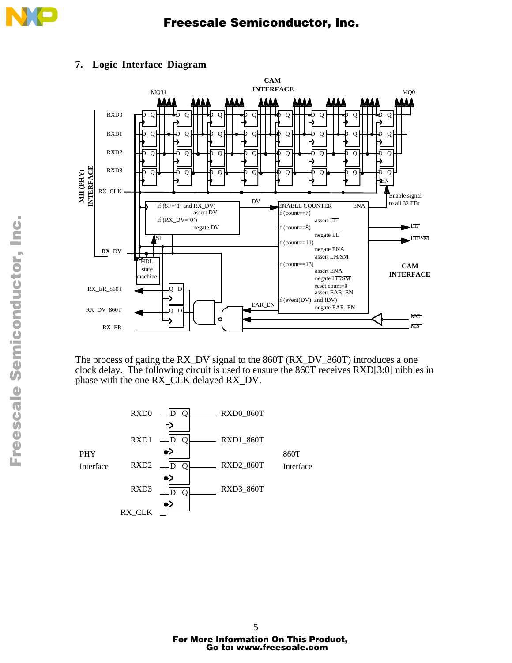



# **7. Logic Interface Diagram**

The process of gating the RX\_DV signal to the 860T (RX\_DV\_860T) introduces a one clock delay. The following circuit is used to ensure the 860T receives RXD[3:0] nibbles in phase with the one RX\_CLK delayed RX\_DV.

 $\overline{\rm o}$ D Q D Q  $\overline{O}$ RXD3 RXD2 RXD1 RXD0 RX\_CLK PHY Interface RXD3\_860T RXD2\_860T RXD1\_860T RXD0\_860T 860T Interface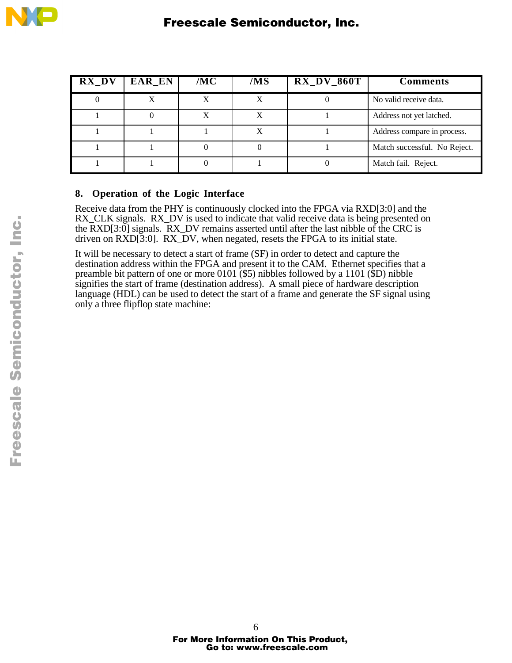| $\mathbf{RX\_DV}$ | EAR_EN | /MC | /MS | $RX_DV_860T$ | <b>Comments</b>              |
|-------------------|--------|-----|-----|--------------|------------------------------|
|                   |        |     | X   |              | No valid receive data.       |
|                   |        | X   | X   |              | Address not yet latched.     |
|                   |        |     | X   |              | Address compare in process.  |
|                   |        |     |     |              | Match successful. No Reject. |
|                   |        |     |     |              | Match fail. Reject.          |

## **8. Operation of the Logic Interface**

Receive data from the PHY is continuously clocked into the FPGA via RXD[3:0] and the RX\_CLK signals. RX\_DV is used to indicate that valid receive data is being presented on the RXD[3:0] signals. RX\_DV remains asserted until after the last nibble of the CRC is driven on RXD[3:0]. RX\_DV, when negated, resets the FPGA to its initial state.

It will be necessary to detect a start of frame (SF) in order to detect and capture the destination address within the FPGA and present it to the CAM. Ethernet specifies that a preamble bit pattern of one or more 0101 (\$5) nibbles followed by a 1101 (\$D) nibble signifies the start of frame (destination address). A small piece of hardware description language (HDL) can be used to detect the start of a frame and generate the SF signal using only a three flipflop state machine:

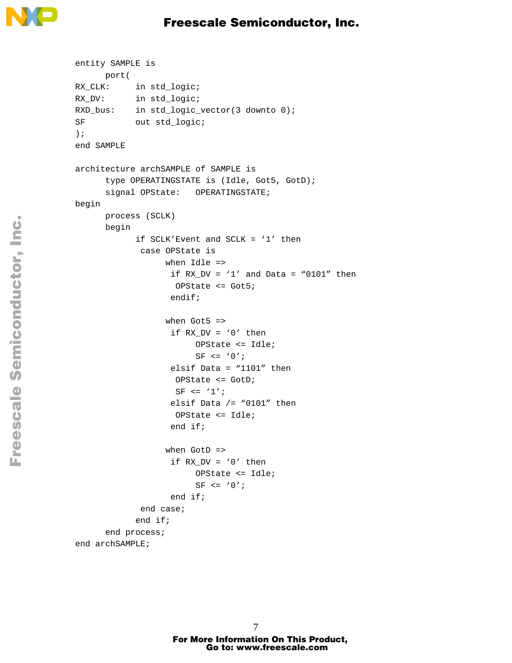

```
entity SAMPLE is
      port(
RX_CLK: in std_logic;
RX_DV: in std_logic;
RXD_bus: in std_logic_vector(3 downto 0);
SF out std_logic;
);
end SAMPLE
architecture archSAMPLE of SAMPLE is
      type OPERATINGSTATE is (Idle, Got5, GotD);
      signal OPState: OPERATINGSTATE;
begin
      process (SCLK)
      begin
            if SCLK'Event and SCLK = '1' then
              case OPState is
                   when Idle =>
                    if RX_DV = '1' and Data = "0101" then
                     OPState <= Got5;
                     endif;
                  when Got5 =>
                    if RX_DV = '0' then
                         OPState <= Idle;
                         SF \leq '0';
                     elsif Data = "1101" then
                     OPState <= GotD;
                    SF \leq \frac{1}{i}elsif Data / = "0101" then
                     OPState <= Idle;
                     end if;
                  when GotD =>
                    if RX DV = '0' then
                          OPState <= Idle;
                         SF \leq \frac{10'i}{s} end if;
              end case;
             end if;
       end process;
end archSAMPLE;
```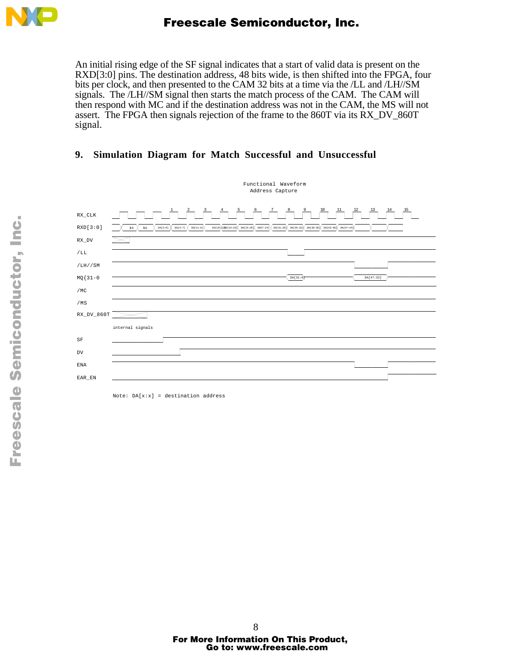

An initial rising edge of the SF signal indicates that a start of valid data is present on the RXD[3:0] pins. The destination address, 48 bits wide, is then shifted into the FPGA, four bits per clock, and then presented to the CAM 32 bits at a time via the /LL and /LH//SM signals. The /LH//SM signal then starts the match process of the CAM. The CAM will then respond with MC and if the destination address was not in the CAM, the MS will not assert. The FPGA then signals rejection of the frame to the 860T via its RX\_DV\_860T signal.

# **9. Simulation Diagram for Match Successful and Unsuccessful**



Note:  $DA[x:x] = destination address$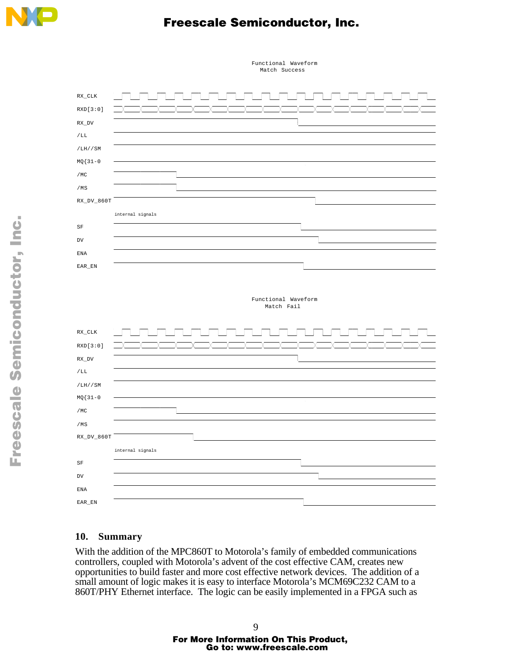

# Freescale Semiconductor, Inc.



#### Functional Waveform Match Success

## **10. Summary**

With the addition of the MPC860T to Motorola's family of embedded communications controllers, coupled with Motorola's advent of the cost effective CAM, creates new opportunities to build faster and more cost effective network devices. The addition of a small amount of logic makes it is easy to interface Motorola's MCM69C232 CAM to a 860T/PHY Ethernet interface. The logic can be easily implemented in a FPGA such as